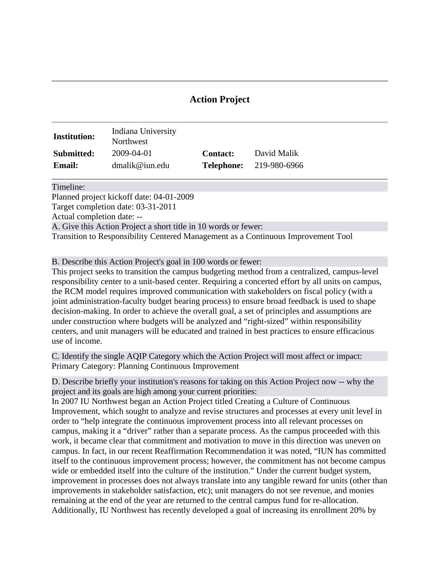## **Action Project**

| <b>Institution:</b> | Indiana University<br>Northwest |                 |                                |
|---------------------|---------------------------------|-----------------|--------------------------------|
| Submitted:          | 2009-04-01                      | <b>Contact:</b> | David Malik                    |
| <b>Email:</b>       | dmalik@ium.edu                  |                 | <b>Telephone:</b> 219-980-6966 |

Timeline:

Planned project kickoff date: 04-01-2009

Target completion date: 03-31-2011

Actual completion date: --

A. Give this Action Project a short title in 10 words or fewer:

Transition to Responsibility Centered Management as a Continuous Improvement Tool

B. Describe this Action Project's goal in 100 words or fewer:

This project seeks to transition the campus budgeting method from a centralized, campus-level responsibility center to a unit-based center. Requiring a concerted effort by all units on campus, the RCM model requires improved communication with stakeholders on fiscal policy (with a joint administration-faculty budget hearing process) to ensure broad feedback is used to shape decision-making. In order to achieve the overall goal, a set of principles and assumptions are under construction where budgets will be analyzed and "right-sized" within responsibility centers, and unit managers will be educated and trained in best practices to ensure efficacious use of income.

C. Identify the single AQIP Category which the Action Project will most affect or impact: Primary Category: Planning Continuous Improvement

D. Describe briefly your institution's reasons for taking on this Action Project now -- why the project and its goals are high among your current priorities:

In 2007 IU Northwest began an Action Project titled Creating a Culture of Continuous Improvement, which sought to analyze and revise structures and processes at every unit level in order to "help integrate the continuous improvement process into all relevant processes on campus, making it a "driver" rather than a separate process. As the campus proceeded with this work, it became clear that commitment and motivation to move in this direction was uneven on campus. In fact, in our recent Reaffirmation Recommendation it was noted, "IUN has committed itself to the continuous improvement process; however, the commitment has not become campus wide or embedded itself into the culture of the institution." Under the current budget system, improvement in processes does not always translate into any tangible reward for units (other than improvements in stakeholder satisfaction, etc); unit managers do not see revenue, and monies remaining at the end of the year are returned to the central campus fund for re-allocation. Additionally, IU Northwest has recently developed a goal of increasing its enrollment 20% by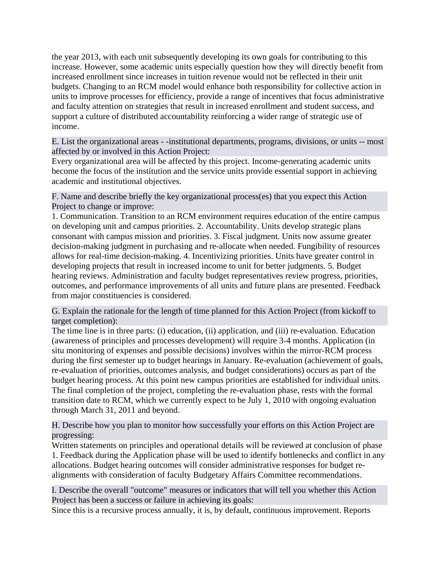the year 2013, with each unit subsequently developing its own goals for contributing to this increase. However, some academic units especially question how they will directly benefit from increased enrollment since increases in tuition revenue would not be reflected in their unit budgets. Changing to an RCM model would enhance both responsibility for collective action in units to improve processes for efficiency, provide a range of incentives that focus administrative and faculty attention on strategies that result in increased enrollment and student success, and support a culture of distributed accountability reinforcing a wider range of strategic use of income.

E. List the organizational areas - -institutional departments, programs, divisions, or units -- most affected by or involved in this Action Project:

Every organizational area will be affected by this project. Income-generating academic units become the focus of the institution and the service units provide essential support in achieving academic and institutional objectives.

F. Name and describe briefly the key organizational process(es) that you expect this Action Project to change or improve:

1. Communication. Transition to an RCM environment requires education of the entire campus on developing unit and campus priorities. 2. Accountability. Units develop strategic plans consonant with campus mission and priorities. 3. Fiscal judgment. Units now assume greater decision-making judgment in purchasing and re-allocate when needed. Fungibility of resources allows for real-time decision-making. 4. Incentivizing priorities. Units have greater control in developing projects that result in increased income to unit for better judgments. 5. Budget hearing reviews. Administration and faculty budget representatives review progress, priorities, outcomes, and performance improvements of all units and future plans are presented. Feedback from major constituencies is considered.

G. Explain the rationale for the length of time planned for this Action Project (from kickoff to target completion):

The time line is in three parts: (i) education, (ii) application, and (iii) re-evaluation. Education (awareness of principles and processes development) will require 3-4 months. Application (in situ monitoring of expenses and possible decisions) involves within the mirror-RCM process during the first semester up to budget hearings in January. Re-evaluation (achievement of goals, re-evaluation of priorities, outcomes analysis, and budget considerations) occurs as part of the budget hearing process. At this point new campus priorities are established for individual units. The final completion of the project, completing the re-evaluation phase, rests with the formal transition date to RCM, which we currently expect to be July 1, 2010 with ongoing evaluation through March 31, 2011 and beyond.

H. Describe how you plan to monitor how successfully your efforts on this Action Project are progressing:

Written statements on principles and operational details will be reviewed at conclusion of phase 1. Feedback during the Application phase will be used to identify bottlenecks and conflict in any allocations. Budget hearing outcomes will consider administrative responses for budget realignments with consideration of faculty Budgetary Affairs Committee recommendations.

I. Describe the overall "outcome" measures or indicators that will tell you whether this Action Project has been a success or failure in achieving its goals:

Since this is a recursive process annually, it is, by default, continuous improvement. Reports